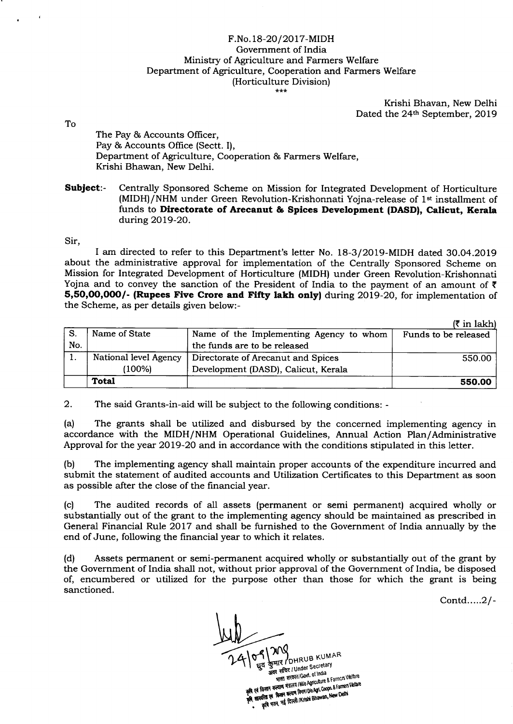## F.No.18-20/2017-MIDH Government of India Ministry of Agriculture and Farmers Welfare Department of Agriculture, Cooperation and Farmers Welfare (Horticulture Division)  $***$

Krishi Bhavan, New Delhi Dated the 24<sup>th</sup> September, 2019

To

The Pay & Accounts Officer, Pay & Accounts Office (Sectt. I), Department of Agriculture, Cooperation & Farmers Welfare, Krishi Bhawan, New Delhi.

Subject:- Centrally Sponsored Scheme on Mission for Integrated Development of Horticulture (MIDH)/NHM under Green Revolution-Krishonnati Yojna-release of 1<sup>st</sup> installment of funds to Directorate of Arecanut & Spices Development (DASD), Calicut, Kerala during 2OL9-2O.

Sir,

I am directed to refer to this Department's letter No. 18-3/2019-MIDH dated 3O.O4.2O19 about the administrative approval for implementation of the Centrally Sponsored Scheme on Mission for Integrated Development of Horticulture (MIDH) under Green Revolution-Krishonnati Yojna and to convey the sanction of the President of India to the payment of an amount of  $\bar{\tau}$ 5,50,00,000/- (Rupees Five Crore and Fifty lakh only) during 2019-20, for implementation of the Scheme, as per details given below:-

|     |                       |                                         | $(3 \in \mathbb{R}^2)$ |
|-----|-----------------------|-----------------------------------------|------------------------|
| S.  | Name of State         | Name of the Implementing Agency to whom | Funds to be released   |
| No. |                       | the funds are to be released            |                        |
|     | National level Agency | Directorate of Arecanut and Spices      | 550.00                 |
|     | (100%)                | Development (DASD), Calicut, Kerala     |                        |
|     | <b>Total</b>          |                                         | 550.00                 |

2. The said Grants-in-aid will be subject to the following conditions: -

(a) The grants shall be utilized and disbursed by the concerned implementing agency in accordance with the MIDH/NHM Operational Guidelines, Annual Action Plan/Administrative Approval for the year 2019-20 and in accordance with the conditions stipulated in this letter.

(b) The implementing agency shall maintain proper accounts of the expenditure incurred and submit the statement of audited accounts and Utilization Certificates to this Department as soon as possible after the close of the financial year.

(c) The audited records of all assets (permanent or semi permanent) acquired wholly or substantially out of the grant to the implementing agenry should be maintained as prescribed in General Financial Rule 2017 and shall be furnished to the Government of India annually by the end of June, following the financial year to which it relates.

(d) Assets perrnanent or semi-permanent acquired wholly or substantially out of the grant by the Government of India shall not, without prior approval of the Government of India, be disposed of, encumbered or utilized for the purpose other than those for which the grant is being sanctioned.

Contd.....2l-

**NV**<br>HR<sub>I</sub>DHRUB KUMAR कुमार / OHRUB Text ary<br>अवर सचिद / Under Secretary र सचिद। Under Secretion अवर सांचर। Union. of India<br>अन्नास्त सरकार/Govt. of India<br>एवं किसान कन्यान मंत्रातय INIo Agriculture & Farmers Veltare<br>एवं किसान कल्यान किसा। Dio Agriculture & Farmers Veltare shed more and Microsofthing & Families weight<br>| किसान कल्याण मंत्रातय | NVO Agriculture & Famers Veltare<br>| कहित्य एवं किसान कल्याण नियम| 10'o Agric Coopt. & Famers Veltare किसान कल्याण गतरी के विद्यान Dio Agri Coops & Falliers<br>प्रतिवा एवं किसान कल्याण विद्यान Dio Agri Coops & Falliers<br>कृषि मतन, नई दिल्ली /Krishi Bhawan, New Delhi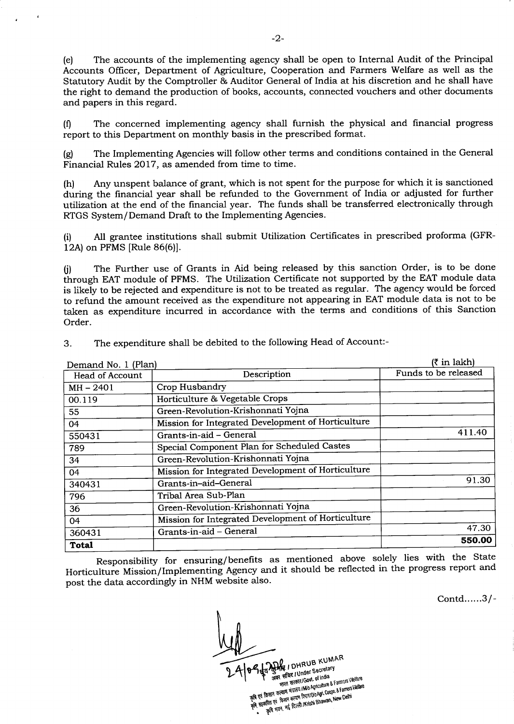(e) The accounts of the implementing agency shall be open to Internal Audit of the Principal Accounts Officer, Department of Agriculture, Cooperation and Farmers Welfare as well as the Statutory Audit by the Comptroller & Auditor General of India at his discretion and he shall have the right to demand the production of books, accounts, connected vouchers and other documents and papers in this regard.

(0 The concerned implementing agency shall furnish the physical and financial progress report to this Department on monthly basis in the prescribed format.

(g) The Implementing Agencies will follow other terms and conditions contained in the General Financial Rules 2017, as amended from time to time.

(h) Any unspent balance of grant, which is not spent for the purpose for which it is sanctioned during the financial year shall be refunded to the Government of India or adjusted for further utilization at the end of the financial year. The funds shall be transferred electronically through RTGS System/Demand Draft to the Implementing Agencies.

(i) All grantee institutions shall submit Utilization Certificates in prescribed proforma (GFR-12A) on PFMS [Rule 86(6)].

0) The Further use of Grants in Aid being released by this sanction Order, is to be done through EAT module of PFMS. The Utilization Certificate not supported by the EAT module data is likely to be rejected and expenditure is not to be treated as regular. The agency would be forced to refund the amount received as the expenditure not appearing in EAT module data is not to be taken as expenditure incurred in accordance with the terms and conditions of this Sanction Order.

| Demand No. 1 (Plan)    | $(3 \in \mathbb{R}^2)$                             |                      |
|------------------------|----------------------------------------------------|----------------------|
| <b>Head of Account</b> | Description                                        | Funds to be released |
| $MH - 2401$            | Crop Husbandry                                     |                      |
| 00.119                 | Horticulture & Vegetable Crops                     |                      |
| 55                     | Green-Revolution-Krishonnati Yojna                 |                      |
| 04                     | Mission for Integrated Development of Horticulture |                      |
| 550431                 | Grants-in-aid - General                            | 411.40               |
| 789                    | Special Component Plan for Scheduled Castes        |                      |
| 34                     | Green-Revolution-Krishonnati Yojna                 |                      |
| 04                     | Mission for Integrated Development of Horticulture |                      |
| 340431                 | Grants-in-aid-General                              | 91.30                |
| 796                    | Tribal Area Sub-Plan                               |                      |
| 36                     | Green-Revolution-Krishonnati Yojna                 |                      |
| 04                     | Mission for Integrated Development of Horticulture |                      |
| 360431                 | Grants-in-aid - General                            | 47.30                |
| <b>Total</b>           |                                                    | 550.00               |

3. The expenditure shall be debited to the following Head of Account:-

Responsibility for ensuring/benefits as mentioned above solely lies with the State Horticulture Mission/Implementing Agency and it should be reflected in the progress report and post the data accordingly in NHM website also.

Contd......3/-

AR / DHRUB KUMAR अवस्था DHRUB<br>अवस्थानिय / Under Secretary र सचिद। Under Secretary<br>भारत सरकार। Govt. of India र सचिद / Under Journalist Seminary Welfare<br>भारत सरकार/Govt. of India<br>हत्याण मंत्रातय / Mio Agnculture & Farmers Welfare<br>हत्याण मंत्रातय किर्णा! Dio Agri. Coopn. & Farmers Welfare THE TREAT ION'L ONE & Farmers Venicus<br>The factor of the Samuel Michael Coope & Farmers Vellare<br>The factor of the Samuel Coope of Coope & Farmers Vellare<br>RESORT OF THE TREAT A INTENSI BRAYAR, New Delhi केसान कल्यान मंत्रालय harri Do Agi. Coopa. 8 rannous<br>गरिता एवं किसान कल्यान विद्यान Do Agi. Coopa. 8 rannous<br>कृषि भवन, नई दिल्ली /Krishi Bhawan, New Delhi